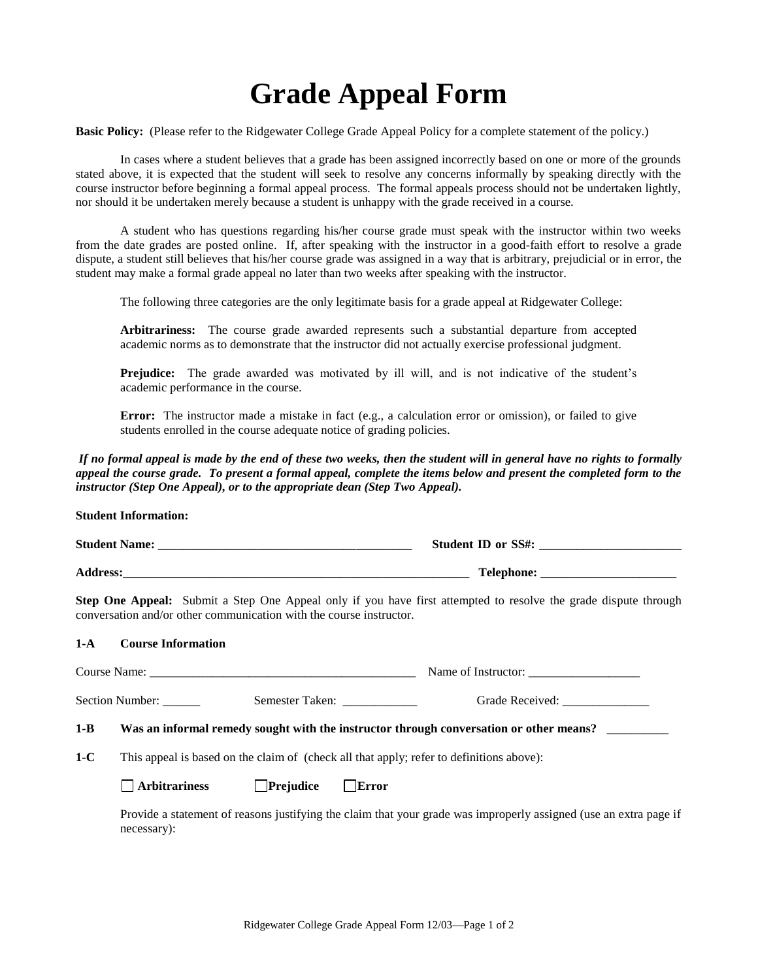## **Grade Appeal Form**

**Basic Policy:** (Please refer to the Ridgewater College Grade Appeal Policy for a complete statement of the policy.)

In cases where a student believes that a grade has been assigned incorrectly based on one or more of the grounds stated above, it is expected that the student will seek to resolve any concerns informally by speaking directly with the course instructor before beginning a formal appeal process. The formal appeals process should not be undertaken lightly, nor should it be undertaken merely because a student is unhappy with the grade received in a course.

A student who has questions regarding his/her course grade must speak with the instructor within two weeks from the date grades are posted online. If, after speaking with the instructor in a good-faith effort to resolve a grade dispute, a student still believes that his/her course grade was assigned in a way that is arbitrary, prejudicial or in error, the student may make a formal grade appeal no later than two weeks after speaking with the instructor.

The following three categories are the only legitimate basis for a grade appeal at Ridgewater College:

**Arbitrariness:** The course grade awarded represents such a substantial departure from accepted academic norms as to demonstrate that the instructor did not actually exercise professional judgment.

**Prejudice:** The grade awarded was motivated by ill will, and is not indicative of the student's academic performance in the course.

**Error:** The instructor made a mistake in fact (e.g., a calculation error or omission), or failed to give students enrolled in the course adequate notice of grading policies.

*If no formal appeal is made by the end of these two weeks, then the student will in general have no rights to formally appeal the course grade. To present a formal appeal, complete the items below and present the completed form to the instructor (Step One Appeal), or to the appropriate dean (Step Two Appeal).*

**Student Information:**

|         | conversation and/or other communication with the course instructor.                      |                               |  | Step One Appeal: Submit a Step One Appeal only if you have first attempted to resolve the grade dispute through   |  |
|---------|------------------------------------------------------------------------------------------|-------------------------------|--|-------------------------------------------------------------------------------------------------------------------|--|
| $1-A$   | <b>Course Information</b>                                                                |                               |  |                                                                                                                   |  |
|         |                                                                                          |                               |  |                                                                                                                   |  |
|         |                                                                                          |                               |  | Section Number: Semester Taken: Capaca Grade Received: Capaca Grade Received:                                     |  |
| $1 - B$ | Was an informal remedy sought with the instructor through conversation or other means?   |                               |  |                                                                                                                   |  |
| $1-C$   | This appeal is based on the claim of (check all that apply; refer to definitions above): |                               |  |                                                                                                                   |  |
|         | <b>Arbitrariness</b>                                                                     | $\Box$ Prejudice $\Box$ Error |  |                                                                                                                   |  |
|         | necessary:                                                                               |                               |  | Provide a statement of reasons justifying the claim that your grade was improperly assigned (use an extra page if |  |